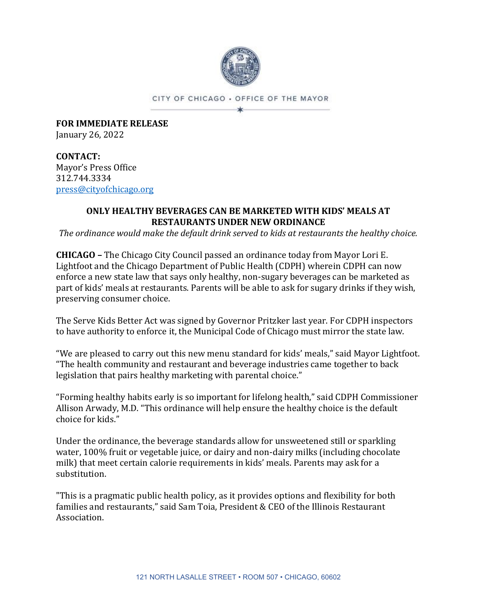

CITY OF CHICAGO . OFFICE OF THE MAYOR ×

**FOR IMMEDIATE RELEASE** January 26, 2022

**CONTACT:** Mayor's Press Office 312.744.3334 [press@cityofchicago.org](mailto:press@cityofchicago.org)

## **ONLY HEALTHY BEVERAGES CAN BE MARKETED WITH KIDS' MEALS AT RESTAURANTS UNDER NEW ORDINANCE**

*The ordinance would make the default drink served to kids at restaurants the healthy choice.*

**CHICAGO –** The Chicago City Council passed an ordinance today from Mayor Lori E. Lightfoot and the Chicago Department of Public Health (CDPH) wherein CDPH can now enforce a new state law that says only healthy, non-sugary beverages can be marketed as part of kids' meals at restaurants. Parents will be able to ask for sugary drinks if they wish, preserving consumer choice.

The Serve Kids Better Act was signed by Governor Pritzker last year. For CDPH inspectors to have authority to enforce it, the Municipal Code of Chicago must mirror the state law.

"We are pleased to carry out this new menu standard for kids' meals," said Mayor Lightfoot. "The health community and restaurant and beverage industries came together to back legislation that pairs healthy marketing with parental choice."

"Forming healthy habits early is so important for lifelong health," said CDPH Commissioner Allison Arwady, M.D. "This ordinance will help ensure the healthy choice is the default choice for kids."

Under the ordinance, the beverage standards allow for unsweetened still or sparkling water, 100% fruit or vegetable juice, or dairy and non-dairy milks (including chocolate milk) that meet certain calorie requirements in kids' meals. Parents may ask for a substitution.

"This is a pragmatic public health policy, as it provides options and flexibility for both families and restaurants," said Sam Toia, President & CEO of the Illinois Restaurant Association.